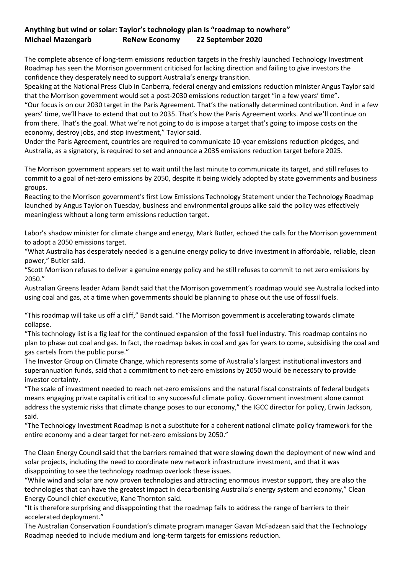## **Anything but wind or solar: Taylor's technology plan is "roadmap to nowhere" Michael Mazengarb ReNew Economy 22 September 2020**

The complete absence of long-term emissions reduction targets in the freshly launched Technology Investment Roadmap has seen the Morrison government criticised for lacking direction and failing to give investors the confidence they desperately need to support Australia's energy transition.

Speaking at the National Press Club in Canberra, federal energy and emissions reduction minister Angus Taylor said that the Morrison government would set a post-2030 emissions reduction target "in a few years' time". "Our focus is on our 2030 target in the Paris Agreement. That's the nationally determined contribution. And in a few years' time, we'll have to extend that out to 2035. That's how the Paris Agreement works. And we'll continue on from there. That's the goal. What we're not going to do is impose a target that's going to impose costs on the economy, destroy jobs, and stop investment," Taylor said.

Under the Paris Agreement, countries are required to communicate 10-year emissions reduction pledges, and Australia, as a signatory, is required to set and announce a 2035 emissions reduction target before 2025.

The Morrison government appears set to wait until the last minute to communicate its target, and still refuses to commit to a goal of net-zero emissions by 2050, despite it being widely adopted by state governments and business groups.

Reacting to the Morrison government's first Low Emissions Technology Statement under the Technology Roadmap launched by Angus Taylor on Tuesday, business and environmental groups alike said the policy was effectively meaningless without a long term emissions reduction target.

Labor's shadow minister for climate change and energy, Mark Butler, echoed the calls for the Morrison government to adopt a 2050 emissions target.

"What Australia has desperately needed is a genuine energy policy to drive investment in affordable, reliable, clean power," Butler said.

"Scott Morrison refuses to deliver a genuine energy policy and he still refuses to commit to net zero emissions by 2050."

Australian Greens leader Adam Bandt said that the Morrison government's roadmap would see Australia locked into using coal and gas, at a time when governments should be planning to phase out the use of fossil fuels.

"This roadmap will take us off a cliff," Bandt said. "The Morrison government is accelerating towards climate collapse.

"This technology list is a fig leaf for the continued expansion of the fossil fuel industry. This roadmap contains no plan to phase out coal and gas. In fact, the roadmap bakes in coal and gas for years to come, subsidising the coal and gas cartels from the public purse."

The Investor Group on Climate Change, which represents some of Australia's largest institutional investors and superannuation funds, said that a commitment to net-zero emissions by 2050 would be necessary to provide investor certainty.

"The scale of investment needed to reach net-zero emissions and the natural fiscal constraints of federal budgets means engaging private capital is critical to any successful climate policy. Government investment alone cannot address the systemic risks that climate change poses to our economy," the IGCC director for policy, Erwin Jackson, said.

"The Technology Investment Roadmap is not a substitute for a coherent national climate policy framework for the entire economy and a clear target for net-zero emissions by 2050."

The Clean Energy Council said that the barriers remained that were slowing down the deployment of new wind and solar projects, including the need to coordinate new network infrastructure investment, and that it was disappointing to see the technology roadmap overlook these issues.

"While wind and solar are now proven technologies and attracting enormous investor support, they are also the technologies that can have the greatest impact in decarbonising Australia's energy system and economy," Clean Energy Council chief executive, Kane Thornton said.

"It is therefore surprising and disappointing that the roadmap fails to address the range of barriers to their accelerated deployment."

The Australian Conservation Foundation's climate program manager Gavan McFadzean said that the Technology Roadmap needed to include medium and long-term targets for emissions reduction.